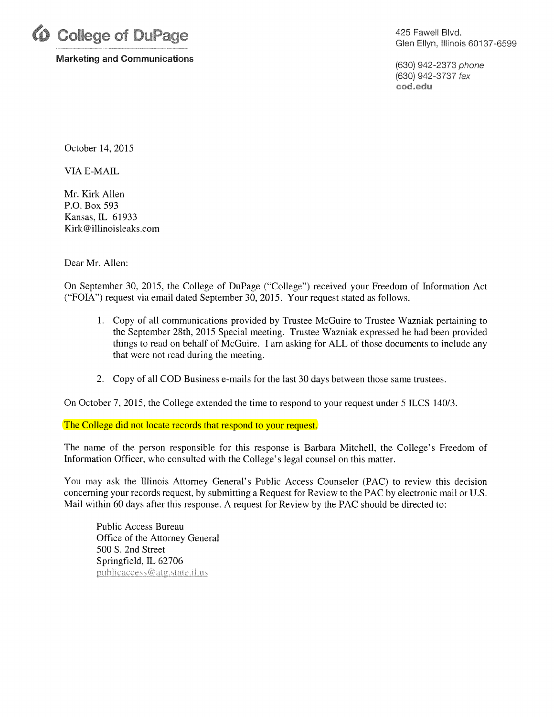

Marketing and Communications

425 Fawell Blvd. Glen Ellyn, Illinois 60137-6599

(630) 942-2373 phone (630) 942-3737 fax cod.edu

October 14, 2015

VIA E-MAIL

Mr. Kirk Allen P.O. Box 593 Kansas, IL 61933 Kirk@illinoisleaks.com

Dear Mr. Allen:

On September 30, 2015, the College of DuPage ("College") received your Freedom of Information Act ("FOIA") request via email dated September 30, 2015. Your request stated as follows.

- 1. Copy of all communications provided by Trustee McGuire to Trustee Wazniak pertaining to the September 28th, 2015 Special meeting. Trustee Wazniak expressed he had been provided things to read on behalf of McGuire. I am asking for ALL of those documents to include any that were not read during the meeting.
- 2. Copy of all COD Business e-mails for the last 30 days between those same trustees.

On October 7, 2015, the College extended the time to respond to your request under 5 ILCS 140/3.

The College did not locate records that respond to your request.

The name of the person responsible for this response is Barbara Mitchell, the College's Freedom of Information Officer, who consulted with the College's legal counsel on this matter.

You may ask the Illinois Attorney General's Public Access Counselor (PAC) to review this decision concerning your records request, by submitting a Request for Review to the PAC by electronic mail or U.S. Mail within 60 days after this response. A request for Review by the PAC should be directed to:

Public Access Bureau Office of the Attorney General 500 S. 2nd Street Springfield, IL 62706 publicaccess@atg.state.il.us